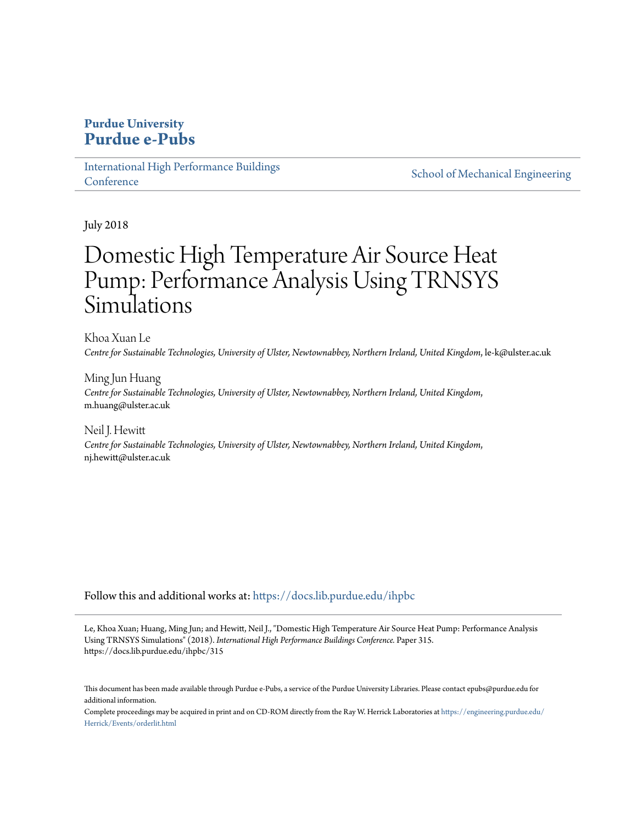## **Purdue University [Purdue e-Pubs](https://docs.lib.purdue.edu?utm_source=docs.lib.purdue.edu%2Fihpbc%2F315&utm_medium=PDF&utm_campaign=PDFCoverPages)**

[International High Performance Buildings](https://docs.lib.purdue.edu/ihpbc?utm_source=docs.lib.purdue.edu%2Fihpbc%2F315&utm_medium=PDF&utm_campaign=PDFCoverPages) **[Conference](https://docs.lib.purdue.edu/ihpbc?utm_source=docs.lib.purdue.edu%2Fihpbc%2F315&utm_medium=PDF&utm_campaign=PDFCoverPages)** 

[School of Mechanical Engineering](https://docs.lib.purdue.edu/me?utm_source=docs.lib.purdue.edu%2Fihpbc%2F315&utm_medium=PDF&utm_campaign=PDFCoverPages)

July 2018

# Domestic High Temperature Air Source Heat Pump: Performance Analysis Using TRNSYS Simulations

Khoa Xuan Le *Centre for Sustainable Technologies, University of Ulster, Newtownabbey, Northern Ireland, United Kingdom*, le-k@ulster.ac.uk

Ming Jun Huang *Centre for Sustainable Technologies, University of Ulster, Newtownabbey, Northern Ireland, United Kingdom*, m.huang@ulster.ac.uk

Neil J. Hewitt *Centre for Sustainable Technologies, University of Ulster, Newtownabbey, Northern Ireland, United Kingdom*, nj.hewitt@ulster.ac.uk

Follow this and additional works at: [https://docs.lib.purdue.edu/ihpbc](https://docs.lib.purdue.edu/ihpbc?utm_source=docs.lib.purdue.edu%2Fihpbc%2F315&utm_medium=PDF&utm_campaign=PDFCoverPages)

Le, Khoa Xuan; Huang, Ming Jun; and Hewitt, Neil J., "Domestic High Temperature Air Source Heat Pump: Performance Analysis Using TRNSYS Simulations" (2018). *International High Performance Buildings Conference.* Paper 315. https://docs.lib.purdue.edu/ihpbc/315

This document has been made available through Purdue e-Pubs, a service of the Purdue University Libraries. Please contact epubs@purdue.edu for additional information.

Complete proceedings may be acquired in print and on CD-ROM directly from the Ray W. Herrick Laboratories at [https://engineering.purdue.edu/](https://engineering.purdue.edu/Herrick/Events/orderlit.html) [Herrick/Events/orderlit.html](https://engineering.purdue.edu/Herrick/Events/orderlit.html)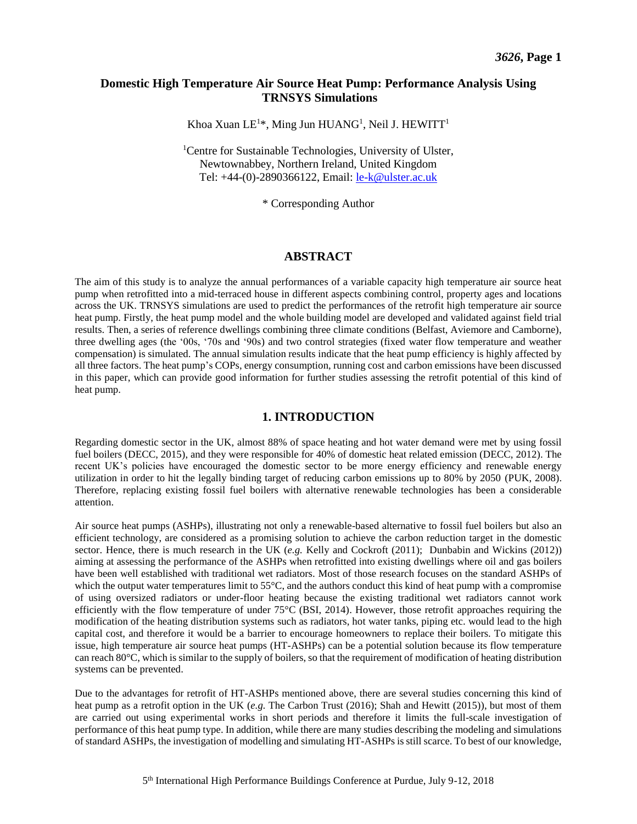### **Domestic High Temperature Air Source Heat Pump: Performance Analysis Using TRNSYS Simulations**

Khoa Xuan LE<sup>1\*</sup>, Ming Jun HUANG<sup>1</sup>, Neil J. HEWITT<sup>1</sup>

<sup>1</sup>Centre for Sustainable Technologies, University of Ulster, Newtownabbey, Northern Ireland, United Kingdom Tel: +44-(0)-2890366122, Email: [le-k@ulster.ac.uk](mailto:le-k@ulster.ac.uk)

\* Corresponding Author

#### **ABSTRACT**

The aim of this study is to analyze the annual performances of a variable capacity high temperature air source heat pump when retrofitted into a mid-terraced house in different aspects combining control, property ages and locations across the UK. TRNSYS simulations are used to predict the performances of the retrofit high temperature air source heat pump. Firstly, the heat pump model and the whole building model are developed and validated against field trial results. Then, a series of reference dwellings combining three climate conditions (Belfast, Aviemore and Camborne), three dwelling ages (the '00s, '70s and '90s) and two control strategies (fixed water flow temperature and weather compensation) is simulated. The annual simulation results indicate that the heat pump efficiency is highly affected by all three factors. The heat pump's COPs, energy consumption, running cost and carbon emissions have been discussed in this paper, which can provide good information for further studies assessing the retrofit potential of this kind of heat pump.

#### **1. INTRODUCTION**

Regarding domestic sector in the UK, almost 88% of space heating and hot water demand were met by using fossil fuel boilers (DECC, 2015), and they were responsible for 40% of domestic heat related emission (DECC, 2012). The recent UK's policies have encouraged the domestic sector to be more energy efficiency and renewable energy utilization in order to hit the legally binding target of reducing carbon emissions up to 80% by 2050 (PUK, 2008). Therefore, replacing existing fossil fuel boilers with alternative renewable technologies has been a considerable attention.

Air source heat pumps (ASHPs), illustrating not only a renewable-based alternative to fossil fuel boilers but also an efficient technology, are considered as a promising solution to achieve the carbon reduction target in the domestic sector. Hence, there is much research in the UK (*e.g.* Kelly and Cockroft (2011); Dunbabin and Wickins (2012)) aiming at assessing the performance of the ASHPs when retrofitted into existing dwellings where oil and gas boilers have been well established with traditional wet radiators. Most of those research focuses on the standard ASHPs of which the output water temperatures limit to 55<sup>o</sup>C, and the authors conduct this kind of heat pump with a compromise of using oversized radiators or under-floor heating because the existing traditional wet radiators cannot work efficiently with the flow temperature of under  $75^{\circ}$ C (BSI, 2014). However, those retrofit approaches requiring the modification of the heating distribution systems such as radiators, hot water tanks, piping etc. would lead to the high capital cost, and therefore it would be a barrier to encourage homeowners to replace their boilers. To mitigate this issue, high temperature air source heat pumps (HT-ASHPs) can be a potential solution because its flow temperature can reach 80°C, which is similar to the supply of boilers, so that the requirement of modification of heating distribution systems can be prevented.

Due to the advantages for retrofit of HT-ASHPs mentioned above, there are several studies concerning this kind of heat pump as a retrofit option in the UK (*e.g.* The Carbon Trust (2016); Shah and Hewitt (2015)), but most of them are carried out using experimental works in short periods and therefore it limits the full-scale investigation of performance of this heat pump type. In addition, while there are many studies describing the modeling and simulations of standard ASHPs, the investigation of modelling and simulating HT-ASHPs is still scarce. To best of our knowledge,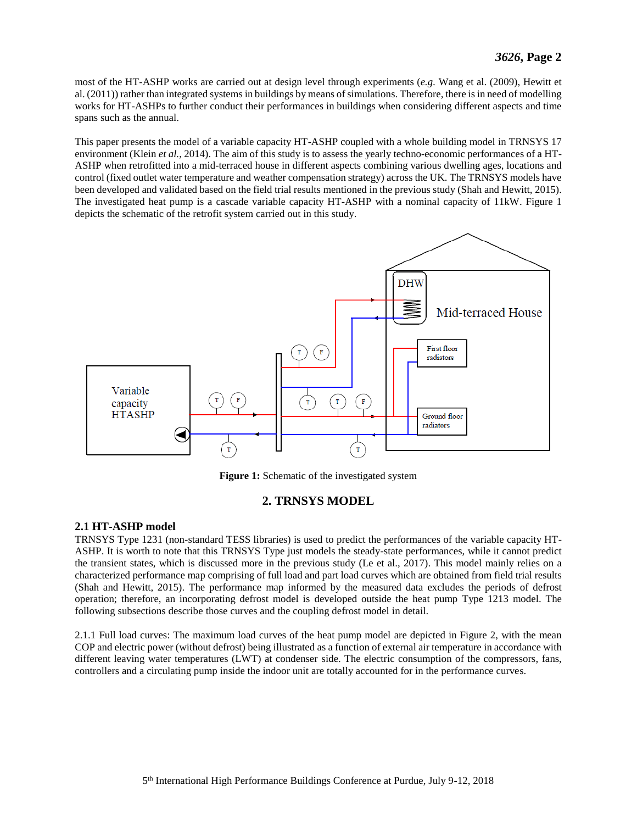most of the HT-ASHP works are carried out at design level through experiments (*e.g.* Wang et al. (2009), Hewitt et al. (2011)) rather than integrated systems in buildings by means of simulations. Therefore, there is in need of modelling works for HT-ASHPs to further conduct their performances in buildings when considering different aspects and time spans such as the annual.

This paper presents the model of a variable capacity HT-ASHP coupled with a whole building model in TRNSYS 17 environment (Klein *et al.*, 2014). The aim of this study is to assess the yearly techno-economic performances of a HT-ASHP when retrofitted into a mid-terraced house in different aspects combining various dwelling ages, locations and control (fixed outlet water temperature and weather compensation strategy) across the UK. The TRNSYS models have been developed and validated based on the field trial results mentioned in the previous study (Shah and Hewitt, 2015). The investigated heat pump is a cascade variable capacity HT-ASHP with a nominal capacity of 11kW. [Figure 1](#page-2-0) depicts the schematic of the retrofit system carried out in this study.



Figure 1: Schematic of the investigated system

## **2. TRNSYS MODEL**

#### <span id="page-2-0"></span>**2.1 HT-ASHP model**

TRNSYS Type 1231 (non-standard TESS libraries) is used to predict the performances of the variable capacity HT-ASHP. It is worth to note that this TRNSYS Type just models the steady-state performances, while it cannot predict the transient states, which is discussed more in the previous study (Le et al., 2017). This model mainly relies on a characterized performance map comprising of full load and part load curves which are obtained from field trial results (Shah and Hewitt, 2015). The performance map informed by the measured data excludes the periods of defrost operation; therefore, an incorporating defrost model is developed outside the heat pump Type 1213 model. The following subsections describe those curves and the coupling defrost model in detail.

2.1.1 Full load curves: The maximum load curves of the heat pump model are depicted in [Figure 2,](#page-3-0) with the mean COP and electric power (without defrost) being illustrated as a function of external air temperature in accordance with different leaving water temperatures (LWT) at condenser side. The electric consumption of the compressors, fans, controllers and a circulating pump inside the indoor unit are totally accounted for in the performance curves.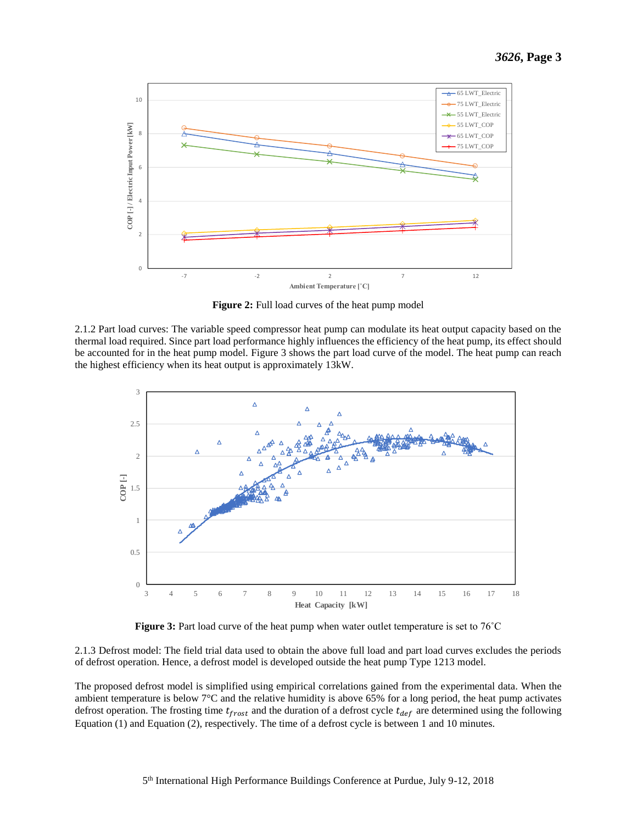

**Figure 2:** Full load curves of the heat pump model

<span id="page-3-0"></span>2.1.2 Part load curves: The variable speed compressor heat pump can modulate its heat output capacity based on the thermal load required. Since part load performance highly influences the efficiency of the heat pump, its effect should be accounted for in the heat pump model. [Figure 3](#page-3-1) shows the part load curve of the model. The heat pump can reach the highest efficiency when its heat output is approximately 13kW.



**Figure 3:** Part load curve of the heat pump when water outlet temperature is set to 76<sup>°</sup>C

<span id="page-3-1"></span>2.1.3 Defrost model: The field trial data used to obtain the above full load and part load curves excludes the periods of defrost operation. Hence, a defrost model is developed outside the heat pump Type 1213 model.

The proposed defrost model is simplified using empirical correlations gained from the experimental data. When the ambient temperature is below 7°C and the relative humidity is above 65% for a long period, the heat pump activates defrost operation. The frosting time  $t_{rrost}$  and the duration of a defrost cycle  $t_{def}$  are determined using the following Equation [\(1\)](#page-4-0) and Equation [\(2\)](#page-4-1), respectively. The time of a defrost cycle is between 1 and 10 minutes.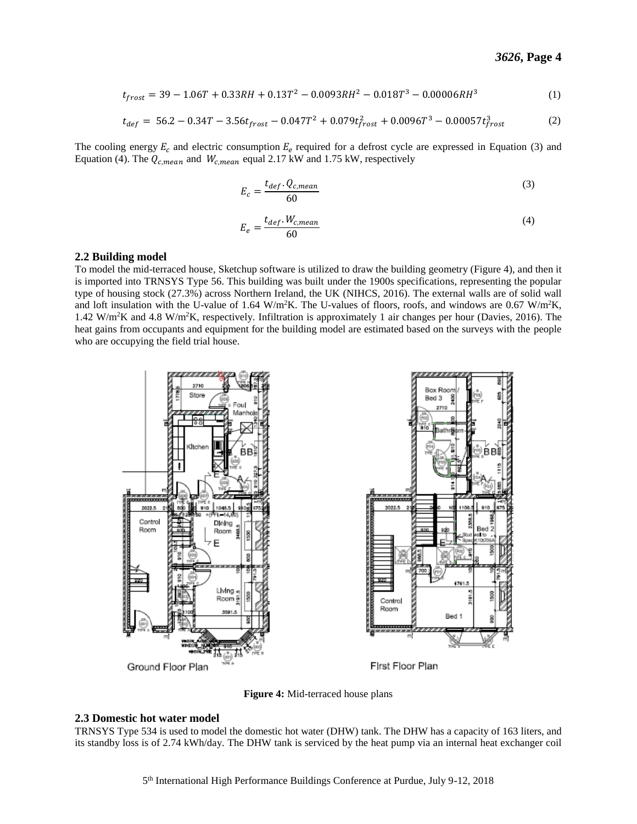$$
t_{frost} = 39 - 1.06T + 0.33RH + 0.13T^2 - 0.0093RH^2 - 0.018T^3 - 0.00006RH^3
$$
 (1)

$$
t_{def} = 56.2 - 0.34T - 3.56t_{front} - 0.047T^2 + 0.079t_{front}^2 + 0.0096T^3 - 0.00057t_{front}^3 \tag{2}
$$

The cooling energy  $E_c$  and electric consumption  $E_e$  required for a defrost cycle are expressed in Equation [\(3\)](#page-4-2) and Equatio[n \(4\)](#page-4-3). The  $Q_{c,mean}$  and  $W_{c,mean}$  equal 2.17 kW and 1.75 kW, respectively

<span id="page-4-2"></span><span id="page-4-1"></span><span id="page-4-0"></span>
$$
E_c = \frac{t_{def} \cdot Q_{c,mean}}{60} \tag{3}
$$

<span id="page-4-3"></span>
$$
E_e = \frac{t_{def} \cdot W_{c,mean}}{60} \tag{4}
$$

#### **2.2 Building model**

To model the mid-terraced house, Sketchup software is utilized to draw the building geometry [\(Figure 4\)](#page-4-4), and then it is imported into TRNSYS Type 56. This building was built under the 1900s specifications, representing the popular type of housing stock (27.3%) across Northern Ireland, the UK (NIHCS, 2016). The external walls are of solid wall and loft insulation with the U-value of 1.64 W/m<sup>2</sup>K. The U-values of floors, roofs, and windows are 0.67 W/m<sup>2</sup>K, 1.42 W/m<sup>2</sup>K and 4.8 W/m<sup>2</sup>K, respectively. Infiltration is approximately 1 air changes per hour (Davies, 2016). The heat gains from occupants and equipment for the building model are estimated based on the surveys with the people who are occupying the field trial house.



**Figure 4:** Mid-terraced house plans

#### <span id="page-4-4"></span>**2.3 Domestic hot water model**

TRNSYS Type 534 is used to model the domestic hot water (DHW) tank. The DHW has a capacity of 163 liters, and its standby loss is of 2.74 kWh/day. The DHW tank is serviced by the heat pump via an internal heat exchanger coil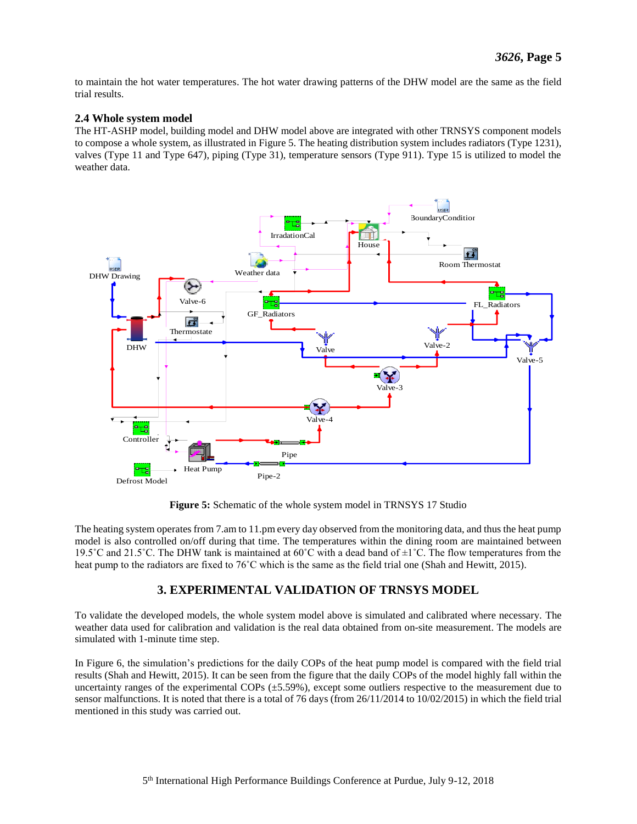to maintain the hot water temperatures. The hot water drawing patterns of the DHW model are the same as the field trial results.

#### **2.4 Whole system model**

The HT-ASHP model, building model and DHW model above are integrated with other TRNSYS component models to compose a whole system, as illustrated in [Figure 5.](#page-5-0) The heating distribution system includes radiators (Type 1231), valves (Type 11 and Type 647), piping (Type 31), temperature sensors (Type 911). Type 15 is utilized to model the weather data.



**Figure 5:** Schematic of the whole system model in TRNSYS 17 Studio

<span id="page-5-0"></span>The heating system operates from 7.am to 11.pm every day observed from the monitoring data, and thus the heat pump model is also controlled on/off during that time. The temperatures within the dining room are maintained between 19.5°C and 21.5°C. The DHW tank is maintained at  $60^{\circ}$ C with a dead band of  $\pm 1^{\circ}$ C. The flow temperatures from the heat pump to the radiators are fixed to 76˚C which is the same as the field trial one (Shah and Hewitt, 2015).

## **3. EXPERIMENTAL VALIDATION OF TRNSYS MODEL**

To validate the developed models, the whole system model above is simulated and calibrated where necessary. The weather data used for calibration and validation is the real data obtained from on-site measurement. The models are simulated with 1-minute time step.

In [Figure 6,](#page-6-0) the simulation's predictions for the daily COPs of the heat pump model is compared with the field trial results (Shah and Hewitt, 2015). It can be seen from the figure that the daily COPs of the model highly fall within the uncertainty ranges of the experimental COPs  $(\pm 5.59\%)$ , except some outliers respective to the measurement due to sensor malfunctions. It is noted that there is a total of 76 days (from 26/11/2014 to 10/02/2015) in which the field trial mentioned in this study was carried out.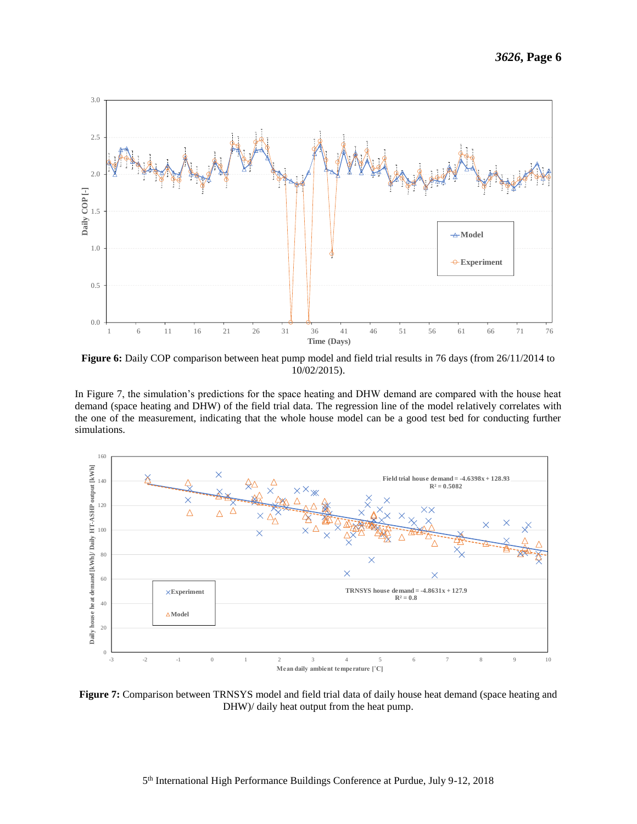

<span id="page-6-0"></span>**Figure 6:** Daily COP comparison between heat pump model and field trial results in 76 days (from 26/11/2014 to 10/02/2015).

In [Figure 7,](#page-6-1) the simulation's predictions for the space heating and DHW demand are compared with the house heat demand (space heating and DHW) of the field trial data. The regression line of the model relatively correlates with the one of the measurement, indicating that the whole house model can be a good test bed for conducting further simulations.



<span id="page-6-1"></span>**Figure 7:** Comparison between TRNSYS model and field trial data of daily house heat demand (space heating and DHW)/ daily heat output from the heat pump.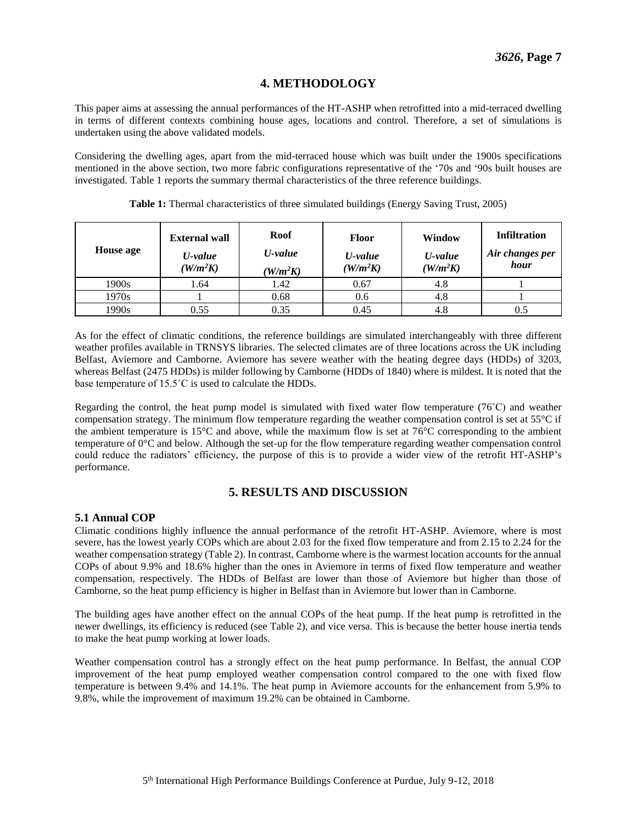## **4. METHODOLOGY**

This paper aims at assessing the annual performances of the HT-ASHP when retrofitted into a mid-terraced dwelling in terms of different contexts combining house ages, locations and control. Therefore, a set of simulations is undertaken using the above validated models.

Considering the dwelling ages, apart from the mid-terraced house which was built under the 1900s specifications mentioned in the above section, two more fabric configurations representative of the '70s and '90s built houses are investigated. [Table 1](#page-7-0) reports the summary thermal characteristics of the three reference buildings.

<span id="page-7-0"></span>

| <b>House age</b> | <b>External wall</b><br>U-value<br>$(W/m^2K)$ | Roof<br>U-value<br>$(W/m^2K)$ | Floor<br>U-value<br>$(W/m^2K)$ | Window<br>$U$ -value<br>$\langle W/m^2K\rangle$ | <b>Infiltration</b><br>Air changes per<br>hour |
|------------------|-----------------------------------------------|-------------------------------|--------------------------------|-------------------------------------------------|------------------------------------------------|
| 1900s            | 1.64                                          | 1.42                          | 0.67                           | 4.8                                             |                                                |
| 1970s            |                                               | 0.68                          | 0.6                            | 4.8                                             |                                                |
| 1990s            | 0.55                                          | 0.35                          | 0.45                           | 4.8                                             | 0.5                                            |

**Table 1:** Thermal characteristics of three simulated buildings (Energy Saving Trust, 2005)

As for the effect of climatic conditions, the reference buildings are simulated interchangeably with three different weather profiles available in TRNSYS libraries. The selected climates are of three locations across the UK including Belfast, Aviemore and Camborne. Aviemore has severe weather with the heating degree days (HDDs) of 3203, whereas Belfast (2475 HDDs) is milder following by Camborne (HDDs of 1840) where is mildest. It is noted that the base temperature of 15.5˚C is used to calculate the HDDs.

Regarding the control, the heat pump model is simulated with fixed water flow temperature (76˚C) and weather compensation strategy. The minimum flow temperature regarding the weather compensation control is set at 55°C if the ambient temperature is 15°C and above, while the maximum flow is set at 76°C corresponding to the ambient temperature of 0°C and below. Although the set-up for the flow temperature regarding weather compensation control could reduce the radiators' efficiency, the purpose of this is to provide a wider view of the retrofit HT-ASHP's performance.

## **5. RESULTS AND DISCUSSION**

#### **5.1 Annual COP**

Climatic conditions highly influence the annual performance of the retrofit HT-ASHP. Aviemore, where is most severe, has the lowest yearly COPs which are about 2.03 for the fixed flow temperature and from 2.15 to 2.24 for the weather compensation strategy [\(Table 2\)](#page-8-0). In contrast, Camborne where is the warmest location accounts for the annual COPs of about 9.9% and 18.6% higher than the ones in Aviemore in terms of fixed flow temperature and weather compensation, respectively. The HDDs of Belfast are lower than those of Aviemore but higher than those of Camborne, so the heat pump efficiency is higher in Belfast than in Aviemore but lower than in Camborne.

The building ages have another effect on the annual COPs of the heat pump. If the heat pump is retrofitted in the newer dwellings, its efficiency is reduced (see [Table 2\)](#page-8-0), and vice versa. This is because the better house inertia tends to make the heat pump working at lower loads.

Weather compensation control has a strongly effect on the heat pump performance. In Belfast, the annual COP improvement of the heat pump employed weather compensation control compared to the one with fixed flow temperature is between 9.4% and 14.1%. The heat pump in Aviemore accounts for the enhancement from 5.9% to 9.8%, while the improvement of maximum 19.2% can be obtained in Camborne.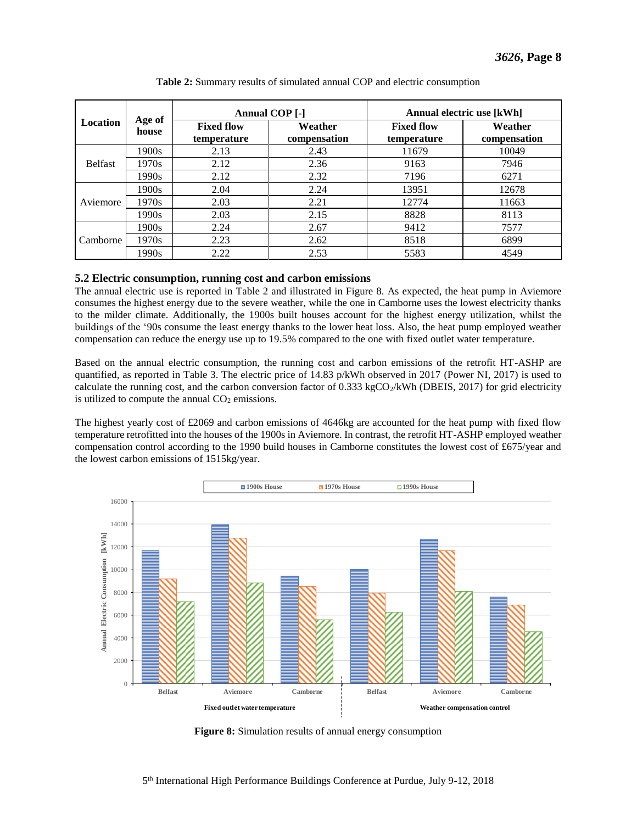<span id="page-8-0"></span>

| <b>Location</b> | Age of<br>house | <b>Annual COP</b> [-]            |                         | Annual electric use [kWh]        |                         |  |
|-----------------|-----------------|----------------------------------|-------------------------|----------------------------------|-------------------------|--|
|                 |                 | <b>Fixed flow</b><br>temperature | Weather<br>compensation | <b>Fixed flow</b><br>temperature | Weather<br>compensation |  |
| <b>Belfast</b>  | 1900s           | 2.13                             | 2.43                    | 11679                            | 10049                   |  |
|                 | 1970s           | 2.12                             | 2.36                    | 9163                             | 7946                    |  |
|                 | 1990s           | 2.12                             | 2.32                    | 7196                             | 6271                    |  |
| Aviemore        | 1900s           | 2.04                             | 2.24                    | 13951                            | 12678                   |  |
|                 | 1970s           | 2.03                             | 2.21                    | 12774                            | 11663                   |  |
|                 | 1990s           | 2.03                             | 2.15                    | 8828                             | 8113                    |  |
| Camborne        | 1900s           | 2.24                             | 2.67                    | 9412                             | 7577                    |  |
|                 | 1970s           | 2.23                             | 2.62                    | 8518                             | 6899                    |  |
|                 | 1990s           | 2.22                             | 2.53                    | 5583                             | 4549                    |  |

**Table 2:** Summary results of simulated annual COP and electric consumption

#### **5.2 Electric consumption, running cost and carbon emissions**

The annual electric use is reported in [Table 2](#page-8-0) and illustrated in [Figure 8.](#page-8-1) As expected, the heat pump in Aviemore consumes the highest energy due to the severe weather, while the one in Camborne uses the lowest electricity thanks to the milder climate. Additionally, the 1900s built houses account for the highest energy utilization, whilst the buildings of the '90s consume the least energy thanks to the lower heat loss. Also, the heat pump employed weather compensation can reduce the energy use up to 19.5% compared to the one with fixed outlet water temperature.

Based on the annual electric consumption, the running cost and carbon emissions of the retrofit HT-ASHP are quantified, as reported in [Table 3.](#page-9-0) The electric price of 14.83 p/kWh observed in 2017 (Power NI, 2017) is used to calculate the running cost, and the carbon conversion factor of  $0.333 \text{ kgCO}_2/\text{kWh}$  (DBEIS, 2017) for grid electricity is utilized to compute the annual  $CO<sub>2</sub>$  emissions.

The highest yearly cost of £2069 and carbon emissions of 4646kg are accounted for the heat pump with fixed flow temperature retrofitted into the houses of the 1900s in Aviemore. In contrast, the retrofit HT-ASHP employed weather compensation control according to the 1990 build houses in Camborne constitutes the lowest cost of £675/year and the lowest carbon emissions of 1515kg/year.



<span id="page-8-1"></span>**Figure 8:** Simulation results of annual energy consumption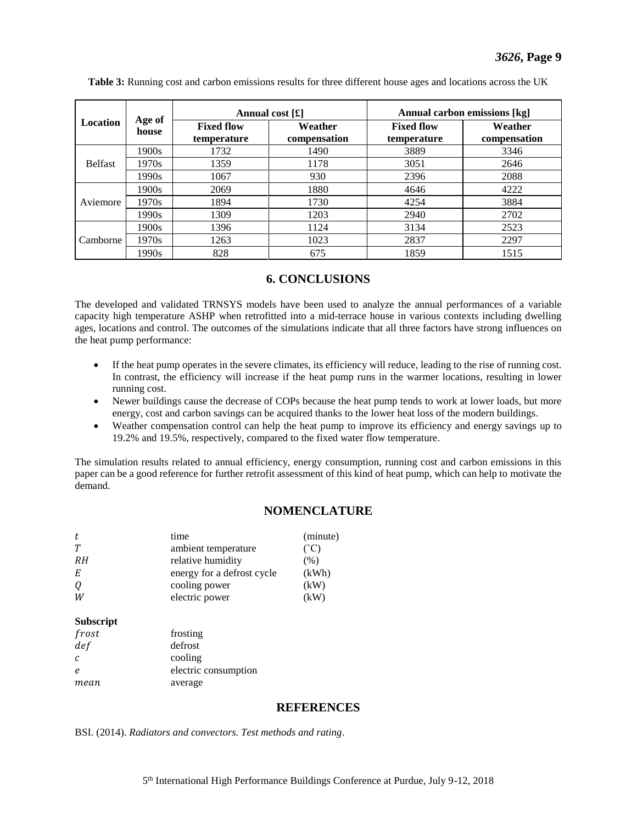| <b>Location</b> | Age of<br>house | Annual cost $[f]$                |                         | Annual carbon emissions [kg]     |                         |
|-----------------|-----------------|----------------------------------|-------------------------|----------------------------------|-------------------------|
|                 |                 | <b>Fixed flow</b><br>temperature | Weather<br>compensation | <b>Fixed flow</b><br>temperature | Weather<br>compensation |
| <b>Belfast</b>  | 1900s           | 1732                             | 1490                    | 3889                             | 3346                    |
|                 | 1970s           | 1359                             | 1178                    | 3051                             | 2646                    |
|                 | 1990s           | 1067                             | 930                     | 2396                             | 2088                    |
| Aviemore        | 1900s           | 2069                             | 1880                    | 4646                             | 4222                    |
|                 | 1970s           | 1894                             | 1730                    | 4254                             | 3884                    |
|                 | 1990s           | 1309                             | 1203                    | 2940                             | 2702                    |
| Camborne        | 1900s           | 1396                             | 1124                    | 3134                             | 2523                    |
|                 | 1970s           | 1263                             | 1023                    | 2837                             | 2297                    |
|                 | 1990s           | 828                              | 675                     | 1859                             | 1515                    |

<span id="page-9-0"></span>**Table 3:** Running cost and carbon emissions results for three different house ages and locations across the UK

#### **6. CONCLUSIONS**

The developed and validated TRNSYS models have been used to analyze the annual performances of a variable capacity high temperature ASHP when retrofitted into a mid-terrace house in various contexts including dwelling ages, locations and control. The outcomes of the simulations indicate that all three factors have strong influences on the heat pump performance:

- If the heat pump operates in the severe climates, its efficiency will reduce, leading to the rise of running cost. In contrast, the efficiency will increase if the heat pump runs in the warmer locations, resulting in lower running cost.
- Newer buildings cause the decrease of COPs because the heat pump tends to work at lower loads, but more energy, cost and carbon savings can be acquired thanks to the lower heat loss of the modern buildings.
- Weather compensation control can help the heat pump to improve its efficiency and energy savings up to 19.2% and 19.5%, respectively, compared to the fixed water flow temperature.

The simulation results related to annual efficiency, energy consumption, running cost and carbon emissions in this paper can be a good reference for further retrofit assessment of this kind of heat pump, which can help to motivate the demand.

#### **NOMENCLATURE**

| t      | time                       | (minute)        |
|--------|----------------------------|-----------------|
| $\tau$ | ambient temperature        | $({}^{\circ}C)$ |
| RH     | relative humidity          | (% )            |
| E      | energy for a defrost cycle | (kWh)           |
| 0      | cooling power              | (kW)            |
| W      | electric power             | (kW)            |

**Subscript** 

| frosting             |
|----------------------|
| defrost              |
| cooling              |
| electric consumption |
| average              |
|                      |

## **REFERENCES**

BSI. (2014). *Radiators and convectors. Test methods and rating*.